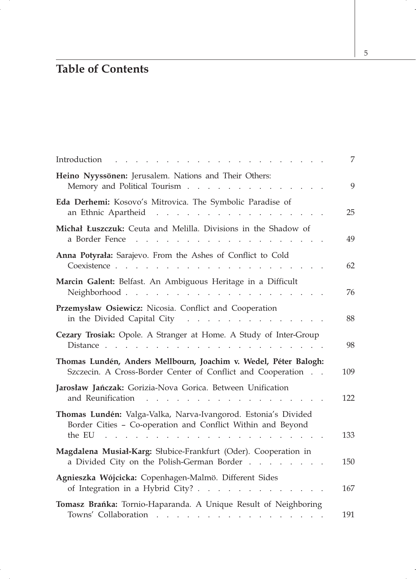## **Table of Contents**

| Introduction                                                                                                                                                                                                                                                                                                                                             | 7   |
|----------------------------------------------------------------------------------------------------------------------------------------------------------------------------------------------------------------------------------------------------------------------------------------------------------------------------------------------------------|-----|
| Heino Nyyssönen: Jerusalem. Nations and Their Others:<br>Memory and Political Tourism                                                                                                                                                                                                                                                                    | 9   |
| Eda Derhemi: Kosovo's Mitrovica. The Symbolic Paradise of<br>an Ethnic Apartheid<br><b>Contract</b><br>$\mathbf{r}$ . The set of the set of the set of the set of the set of the set of the set of the set of the set of the set of the set of the set of the set of the set of the set of the set of the set of the set of the set of t<br>$\mathbf{r}$ | 25  |
| Michał Łuszczuk: Ceuta and Melilla. Divisions in the Shadow of<br>a Border Fence                                                                                                                                                                                                                                                                         | 49  |
| Anna Potyrała: Sarajevo. From the Ashes of Conflict to Cold<br>Coexistence                                                                                                                                                                                                                                                                               | 62  |
| Marcin Galent: Belfast. An Ambiguous Heritage in a Difficult<br>Neighborhood<br>$\cdots$ $\cdots$                                                                                                                                                                                                                                                        | 76  |
| Przemysław Osiewicz: Nicosia. Conflict and Cooperation<br>in the Divided Capital City                                                                                                                                                                                                                                                                    | 88  |
| Cezary Trosiak: Opole. A Stranger at Home. A Study of Inter-Group                                                                                                                                                                                                                                                                                        | 98  |
| Thomas Lundén, Anders Mellbourn, Joachim v. Wedel, Péter Balogh:<br>Szczecin. A Cross-Border Center of Conflict and Cooperation                                                                                                                                                                                                                          | 109 |
| Jarosław Jańczak: Gorizia-Nova Gorica. Between Unification<br>and Reunification                                                                                                                                                                                                                                                                          | 122 |
| Thomas Lundén: Valga-Valka, Narva-Ivangorod. Estonia's Divided<br>Border Cities - Co-operation and Conflict Within and Beyond<br>the EU $\cdots$ $\cdots$<br>a na mara                                                                                                                                                                                   | 133 |
| Magdalena Musiał-Karg: Słubice-Frankfurt (Oder). Cooperation in<br>a Divided City on the Polish-German Border                                                                                                                                                                                                                                            | 150 |
| Agnieszka Wójcicka: Copenhagen-Malmö. Different Sides<br>of Integration in a Hybrid City?                                                                                                                                                                                                                                                                | 167 |
| Tomasz Brańka: Tornio-Haparanda. A Unique Result of Neighboring<br>Towns' Collaboration                                                                                                                                                                                                                                                                  | 191 |

5